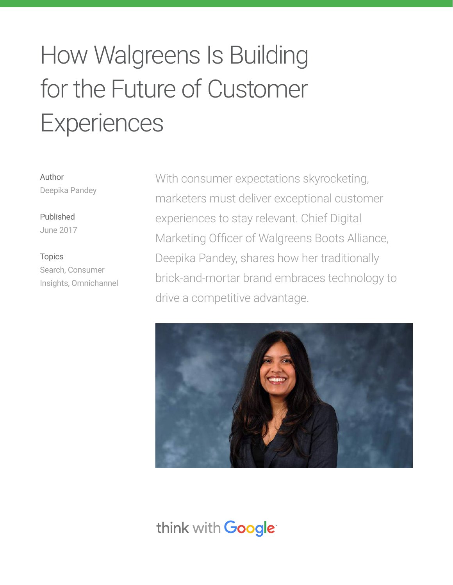# How Walgreens Is Building for the Future of Customer **Experiences**

Author Deepika Pandey

Published June 2017

Topics Search, Consumer Insights, Omnichannel With consumer expectations skyrocketing, marketers must deliver exceptional customer experiences to stay relevant. Chief Digital Marketing Officer of Walgreens Boots Alliance, Deepika Pandey, shares how her traditionally brick-and-mortar brand embraces technology to drive a competitive advantage.



## think with Google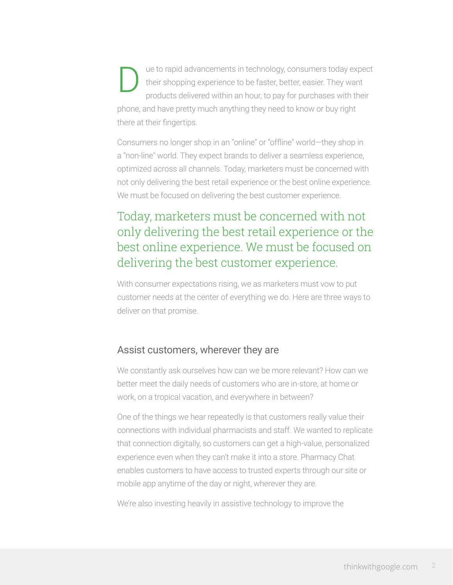ue to rapid advancements in technology, consumers today expect their shopping experience to be faster, better, easier. They want products delivered within an hour, to pay for purchases with their phone, and have pretty much anything they need to know or buy right there at their fingertips. D

Consumers no longer shop in an "online" or "offline" world—they shop in a "non-line" world. They expect brands to deliver a seamless experience, optimized across all channels. Today, marketers must be concerned with not only delivering the best retail experience or the best online experience. We must be focused on delivering the best customer experience.

## Today, marketers must be concerned with not only delivering the best retail experience or the best online experience. We must be focused on delivering the best customer experience.

With consumer expectations rising, we as marketers must vow to put customer needs at the center of everything we do. Here are three ways to deliver on that promise.

#### Assist customers, wherever they are

We constantly ask ourselves how can we be more relevant? How can we better meet the daily needs of customers who are in-store, at home or work, on a tropical vacation, and everywhere in between?

One of the things we hear repeatedly is that customers really value their connections with individual pharmacists and staff. We wanted to replicate that connection digitally, so customers can get a high-value, personalized experience even when they can't make it into a store. Pharmacy Chat enables customers to have access to trusted experts through our site or mobile app anytime of the day or night, wherever they are.

We're also investing heavily in assistive technology to improve the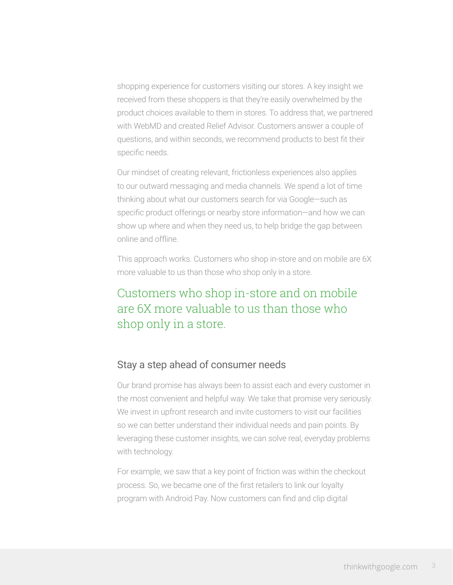shopping experience for customers visiting our stores. A key insight we received from these shoppers is that they're easily overwhelmed by the product choices available to them in stores. To address that, we partnered with WebMD and created Relief Advisor. Customers answer a couple of questions, and within seconds, we recommend products to best fit their specific needs.

Our mindset of creating relevant, frictionless experiences also applies to our outward messaging and media channels. We spend a lot of time thinking about what our customers search for via Google—such as specific product offerings or nearby store information—and how we can show up where and when they need us, to help bridge the gap between online and offline.

This approach works. Customers who shop in-store and on mobile are 6X more valuable to us than those who shop only in a store.

## Customers who shop in-store and on mobile are 6X more valuable to us than those who shop only in a store.

#### Stay a step ahead of consumer needs

Our brand promise has always been to assist each and every customer in the most convenient and helpful way. We take that promise very seriously. We invest in upfront research and invite customers to visit our facilities so we can better understand their individual needs and pain points. By leveraging these customer insights, we can solve real, everyday problems with technology.

For example, we saw that a key point of friction was within the checkout process. So, we became one of the first retailers to link our loyalty program with Android Pay. Now customers can find and clip digital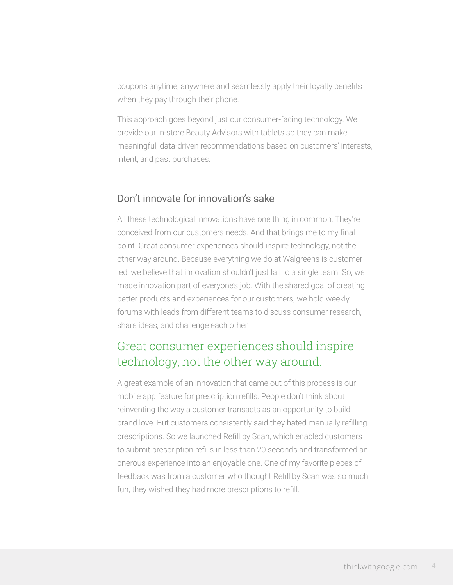coupons anytime, anywhere and seamlessly apply their loyalty benefits when they pay through their phone.

This approach goes beyond just our consumer-facing technology. We provide our in-store Beauty Advisors with tablets so they can make meaningful, data-driven recommendations based on customers' interests, intent, and past purchases.

#### Don't innovate for innovation's sake

All these technological innovations have one thing in common: They're conceived from our customers needs. And that brings me to my final point. Great consumer experiences should inspire technology, not the other way around. Because everything we do at Walgreens is customerled, we believe that innovation shouldn't just fall to a single team. So, we made innovation part of everyone's job. With the shared goal of creating better products and experiences for our customers, we hold weekly forums with leads from different teams to discuss consumer research, share ideas, and challenge each other.

## Great consumer experiences should inspire technology, not the other way around.

A great example of an innovation that came out of this process is our mobile app feature for prescription refills. People don't think about reinventing the way a customer transacts as an opportunity to build brand love. But customers consistently said they hated manually refilling prescriptions. So we launched Refill by Scan, which enabled customers to submit prescription refills in less than 20 seconds and transformed an onerous experience into an enjoyable one. One of my favorite pieces of feedback was from a customer who thought Refill by Scan was so much fun, they wished they had more prescriptions to refill.